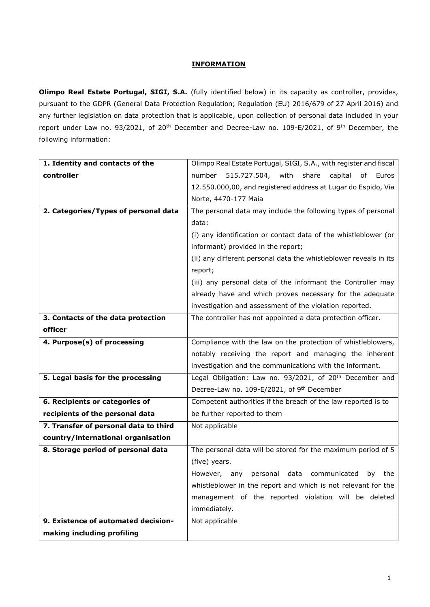## **INFORMATION**

**Olimpo Real Estate Portugal, SIGI, S.A.** (fully identified below) in its capacity as controller, provides, pursuant to the GDPR (General Data Protection Regulation; Regulation (EU) 2016/679 of 27 April 2016) and any further legislation on data protection that is applicable, upon collection of personal data included in your report under Law no. 93/2021, of 20<sup>th</sup> December and Decree-Law no. 109-E/2021, of 9<sup>th</sup> December, the following information:

| 1. Identity and contacts of the       | Olimpo Real Estate Portugal, SIGI, S.A., with register and fiscal   |
|---------------------------------------|---------------------------------------------------------------------|
| controller                            | 515.727.504, with<br>number<br>share<br>capital<br>of Euros         |
|                                       | 12.550.000,00, and registered address at Lugar do Espido, Via       |
|                                       | Norte, 4470-177 Maia                                                |
| 2. Categories/Types of personal data  | The personal data may include the following types of personal       |
|                                       | data:                                                               |
|                                       | (i) any identification or contact data of the whistleblower (or     |
|                                       | informant) provided in the report;                                  |
|                                       | (ii) any different personal data the whistleblower reveals in its   |
|                                       | report;                                                             |
|                                       | (iii) any personal data of the informant the Controller may         |
|                                       | already have and which proves necessary for the adequate            |
|                                       | investigation and assessment of the violation reported.             |
| 3. Contacts of the data protection    | The controller has not appointed a data protection officer.         |
| officer                               |                                                                     |
| 4. Purpose(s) of processing           | Compliance with the law on the protection of whistleblowers,        |
|                                       | notably receiving the report and managing the inherent              |
|                                       | investigation and the communications with the informant.            |
| 5. Legal basis for the processing     | Legal Obligation: Law no. 93/2021, of 20 <sup>th</sup> December and |
|                                       | Decree-Law no. 109-E/2021, of 9th December                          |
| 6. Recipients or categories of        | Competent authorities if the breach of the law reported is to       |
| recipients of the personal data       | be further reported to them                                         |
| 7. Transfer of personal data to third | Not applicable                                                      |
| country/international organisation    |                                                                     |
| 8. Storage period of personal data    | The personal data will be stored for the maximum period of 5        |
|                                       | (five) years.                                                       |
|                                       | communicated<br>However, any personal<br>data<br>by<br>the          |
|                                       | whistleblower in the report and which is not relevant for the       |
|                                       | management of the reported violation will be deleted                |
|                                       | immediately.                                                        |
| 9. Existence of automated decision-   | Not applicable                                                      |
| making including profiling            |                                                                     |